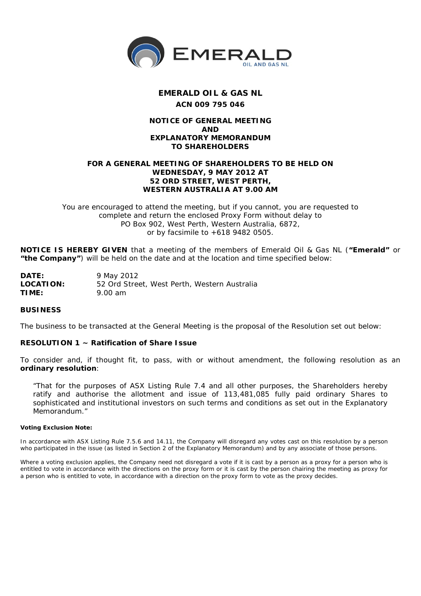

# **EMERALD OIL & GAS NL ACN 009 795 046**

## **NOTICE OF GENERAL MEETING AND EXPLANATORY MEMORANDUM TO SHAREHOLDERS**

### **FOR A GENERAL MEETING OF SHAREHOLDERS TO BE HELD ON WEDNESDAY, 9 MAY 2012 AT 52 ORD STREET, WEST PERTH, WESTERN AUSTRALIA AT 9.00 AM**

*You are encouraged to attend the meeting, but if you cannot, you are requested to complete and return the enclosed Proxy Form without delay to PO Box 902, West Perth, Western Australia, 6872, or by facsimile to +618 9482 0505.*

**NOTICE IS HEREBY GIVEN** that a meeting of the members of Emerald Oil & Gas NL (**"Emerald"** or **"the Company"**) will be held on the date and at the location and time specified below:

| DATE:     | 9 May 2012                                   |
|-----------|----------------------------------------------|
| LOCATION: | 52 Ord Street, West Perth, Western Australia |
| TIME:     | 9.00 am                                      |

#### **BUSINESS**

The business to be transacted at the General Meeting is the proposal of the Resolution set out below:

#### **RESOLUTION 1 ~ Ratification of Share Issue**

To consider and, if thought fit, to pass, with or without amendment, the following resolution as an **ordinary resolution**:

*"That for the purposes of ASX Listing Rule 7.4 and all other purposes, the Shareholders hereby ratify and authorise the allotment and issue of 113,481,085 fully paid ordinary Shares to sophisticated and institutional investors on such terms and conditions as set out in the Explanatory Memorandum."*

#### **Voting Exclusion Note:**

In accordance with ASX Listing Rule 7.5.6 and 14.11, the Company will disregard any votes cast on this resolution by a person who participated in the issue (as listed in Section 2 of the Explanatory Memorandum) and by any associate of those persons.

Where a voting exclusion applies, the Company need not disregard a vote if it is cast by a person as a proxy for a person who is entitled to vote in accordance with the directions on the proxy form or it is cast by the person chairing the meeting as proxy for a person who is entitled to vote, in accordance with a direction on the proxy form to vote as the proxy decides.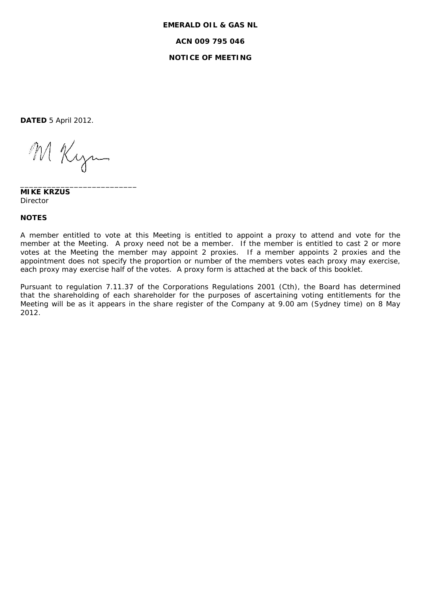# **EMERALD OIL & GAS NL ACN 009 795 046 NOTICE OF MEETING**

**DATED** 5 April 2012.

M Kyn

\_\_\_\_\_\_\_\_\_\_\_\_\_\_\_\_\_\_\_\_\_\_\_\_\_\_

**MIKE KRZUS** Director

#### **NOTES**

A member entitled to vote at this Meeting is entitled to appoint a proxy to attend and vote for the member at the Meeting. A proxy need not be a member. If the member is entitled to cast 2 or more votes at the Meeting the member may appoint 2 proxies. If a member appoints 2 proxies and the appointment does not specify the proportion or number of the members votes each proxy may exercise, each proxy may exercise half of the votes. A proxy form is attached at the back of this booklet.

Pursuant to regulation 7.11.37 of the Corporations Regulations 2001 (Cth), the Board has determined that the shareholding of each shareholder for the purposes of ascertaining voting entitlements for the Meeting will be as it appears in the share register of the Company at 9.00 am (Sydney time) on 8 May 2012.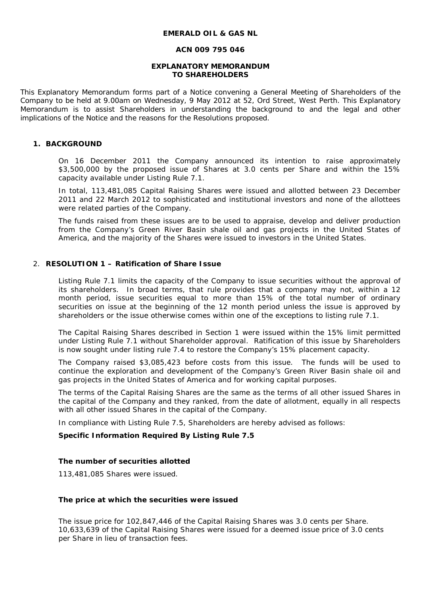#### **EMERALD OIL & GAS NL**

#### **ACN 009 795 046**

#### **EXPLANATORY MEMORANDUM TO SHAREHOLDERS**

This Explanatory Memorandum forms part of a Notice convening a General Meeting of Shareholders of the Company to be held at 9.00am on Wednesday, 9 May 2012 at 52, Ord Street, West Perth. This Explanatory Memorandum is to assist Shareholders in understanding the background to and the legal and other implications of the Notice and the reasons for the Resolutions proposed.

## **1. BACKGROUND**

On 16 December 2011 the Company announced its intention to raise approximately \$3,500,000 by the proposed issue of Shares at 3.0 cents per Share and within the 15% capacity available under Listing Rule 7.1.

In total, 113,481,085 Capital Raising Shares were issued and allotted between 23 December 2011 and 22 March 2012 to sophisticated and institutional investors and none of the allottees were related parties of the Company.

The funds raised from these issues are to be used to appraise, develop and deliver production from the Company's Green River Basin shale oil and gas projects in the United States of America, and the majority of the Shares were issued to investors in the United States.

#### 2. **RESOLUTION 1 – Ratification of Share Issue**

Listing Rule 7.1 limits the capacity of the Company to issue securities without the approval of its shareholders. In broad terms, that rule provides that a company may not, within a 12 month period, issue securities equal to more than 15% of the total number of ordinary securities on issue at the beginning of the 12 month period unless the issue is approved by shareholders or the issue otherwise comes within one of the exceptions to listing rule 7.1.

The Capital Raising Shares described in Section 1 were issued within the 15% limit permitted under Listing Rule 7.1 without Shareholder approval. Ratification of this issue by Shareholders is now sought under listing rule 7.4 to restore the Company's 15% placement capacity.

The Company raised \$3,085,423 before costs from this issue. The funds will be used to continue the exploration and development of the Company's Green River Basin shale oil and gas projects in the United States of America and for working capital purposes.

The terms of the Capital Raising Shares are the same as the terms of all other issued Shares in the capital of the Company and they ranked, from the date of allotment, equally in all respects with all other issued Shares in the capital of the Company.

In compliance with Listing Rule 7.5, Shareholders are hereby advised as follows:

#### **Specific Information Required By Listing Rule 7.5**

## *The number of securities allotted*

113,481,085 Shares were issued.

#### *The price at which the securities were issued*

The issue price for 102,847,446 of the Capital Raising Shares was 3.0 cents per Share. 10,633,639 of the Capital Raising Shares were issued for a deemed issue price of 3.0 cents per Share in lieu of transaction fees.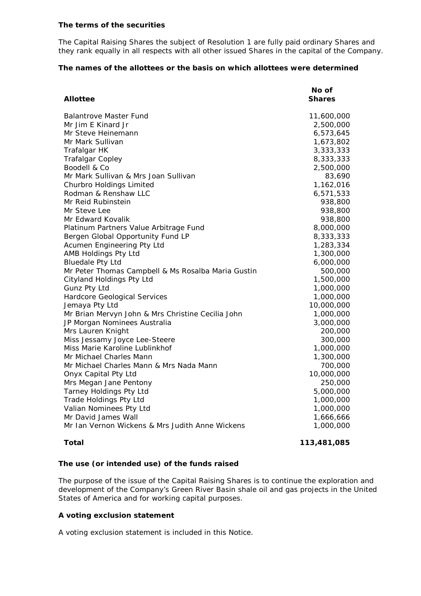#### *The terms of the securities*

The Capital Raising Shares the subject of Resolution 1 are fully paid ordinary Shares and they rank equally in all respects with all other issued Shares in the capital of the Company.

# *The names of the allottees or the basis on which allottees were determined*

|                                                    | No of         |
|----------------------------------------------------|---------------|
| <b>Allottee</b>                                    | <b>Shares</b> |
| <b>Balantrove Master Fund</b>                      | 11,600,000    |
| Mr Jim E Kinard Jr                                 | 2,500,000     |
| Mr Steve Heinemann                                 | 6,573,645     |
| Mr Mark Sullivan                                   | 1,673,802     |
| Trafalgar HK                                       | 3,333,333     |
| <b>Trafalgar Copley</b>                            | 8,333,333     |
| Boodell & Co                                       | 2,500,000     |
| Mr Mark Sullivan & Mrs Joan Sullivan               | 83,690        |
| Churbro Holdings Limited                           | 1,162,016     |
| Rodman & Renshaw LLC                               | 6,571,533     |
| Mr Reid Rubinstein                                 | 938,800       |
| Mr Steve Lee                                       | 938,800       |
| Mr Edward Kovalik                                  | 938,800       |
| Platinum Partners Value Arbitrage Fund             | 8,000,000     |
| Bergen Global Opportunity Fund LP                  | 8,333,333     |
| Acumen Engineering Pty Ltd                         | 1,283,334     |
| AMB Holdings Pty Ltd                               | 1,300,000     |
| <b>Bluedale Pty Ltd</b>                            | 6,000,000     |
| Mr Peter Thomas Campbell & Ms Rosalba Maria Gustin | 500,000       |
| Cityland Holdings Pty Ltd                          | 1,500,000     |
| Gunz Pty Ltd                                       | 1,000,000     |
| Hardcore Geological Services                       | 1,000,000     |
| Jemaya Pty Ltd                                     | 10,000,000    |
| Mr Brian Mervyn John & Mrs Christine Cecilia John  | 1,000,000     |
| JP Morgan Nominees Australia                       | 3,000,000     |
| Mrs Lauren Knight                                  | 200,000       |
| Miss Jessamy Joyce Lee-Steere                      | 300,000       |
| Miss Marie Karoline Lublinkhof                     | 1,000,000     |
| Mr Michael Charles Mann                            | 1,300,000     |
| Mr Michael Charles Mann & Mrs Nada Mann            | 700,000       |
| Onyx Capital Pty Ltd                               | 10,000,000    |
| Mrs Megan Jane Pentony                             | 250,000       |
| Tarney Holdings Pty Ltd                            | 5,000,000     |
| <b>Trade Holdings Pty Ltd</b>                      | 1,000,000     |
| Valian Nominees Pty Ltd                            | 1,000,000     |
| Mr David James Wall                                | 1,666,666     |
| Mr Ian Vernon Wickens & Mrs Judith Anne Wickens    | 1,000,000     |

**Total 113,481,085**

## *The use (or intended use) of the funds raised*

The purpose of the issue of the Capital Raising Shares is to continue the exploration and development of the Company's Green River Basin shale oil and gas projects in the United States of America and for working capital purposes.

# *A voting exclusion statement*

A voting exclusion statement is included in this Notice.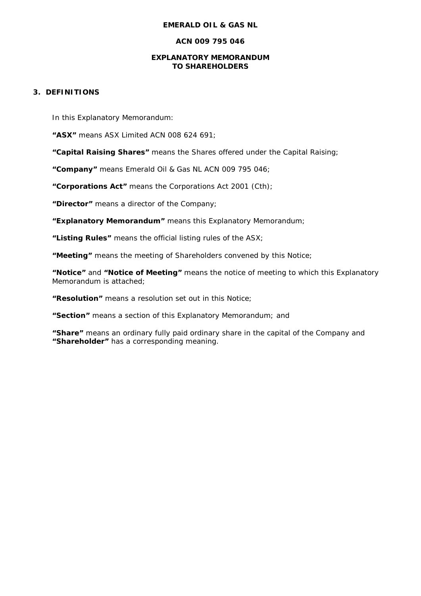#### **EMERALD OIL & GAS NL**

## **ACN 009 795 046**

#### **EXPLANATORY MEMORANDUM TO SHAREHOLDERS**

# **3. DEFINITIONS**

In this Explanatory Memorandum:

**"ASX"** means ASX Limited ACN 008 624 691;

**"Capital Raising Shares"** means the Shares offered under the Capital Raising;

**"Company"** means Emerald Oil & Gas NL ACN 009 795 046;

**"Corporations Act"** means the Corporations Act 2001 (Cth);

**"Director"** means a director of the Company;

**"Explanatory Memorandum"** means this Explanatory Memorandum;

**"Listing Rules"** means the official listing rules of the ASX;

**"Meeting"** means the meeting of Shareholders convened by this Notice;

**"Notice"** and **"Notice of Meeting"** means the notice of meeting to which this Explanatory Memorandum is attached;

**"Resolution"** means a resolution set out in this Notice;

**"Section"** means a section of this Explanatory Memorandum; and

**"Share"** means an ordinary fully paid ordinary share in the capital of the Company and **"Shareholder"** has a corresponding meaning.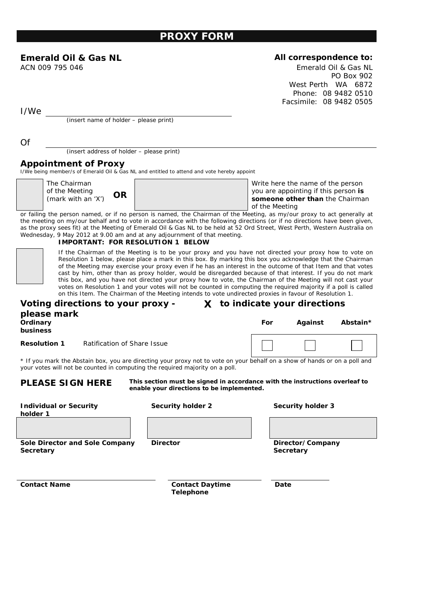# **PROXY FORM**

# **Emerald Oil & Gas NL All correspondence to:**

ACN 009 795 046 Emerald Oil & Gas NL PO Box 902 West Perth WA 6872 Phone: 08 9482 0510 Facsimile: 08 9482 0505

I/We

(insert name of holder – please print)

Of

(insert address of holder – please print)

# **Appointment of Proxy**

I/We being member/s of Emerald Oil & Gas NL and entitled to attend and vote hereby appoint

The Chairman of the Meeting (mark with an 'X') **OR**

Write here the name of the person you are appointing if this person **is someone other than** the Chairman of the Meeting

or failing the person named, or if no person is named, the Chairman of the Meeting, as my/our proxy to act generally at the meeting on my/our behalf and to vote in accordance with the following directions (or if no directions have been given, as the proxy sees fit) at the Meeting of Emerald Oil & Gas NL to be held at 52 Ord Street, West Perth, Western Australia on Wednesday, 9 May 2012 at 9.00 am and at any adjournment of that meeting.

#### **IMPORTANT: FOR RESOLUTION 1 BELOW**

If the Chairman of the Meeting is to be your proxy and you have not directed your proxy how to vote on Resolution 1 below, please place a mark in this box. By marking this box you acknowledge that the Chairman of the Meeting may exercise your proxy even if he has an interest in the outcome of that Item and that votes cast by him, other than as proxy holder, would be disregarded because of that interest. If you do not mark this box, and you have not directed your proxy how to vote, the Chairman of the Meeting will not cast your votes on Resolution 1 and your votes will not be counted in computing the required majority if a poll is called on this Item. The Chairman of the Meeting intends to vote undirected proxies in favour of Resolution 1.

#### **Voting directions to your proxy - X to indicate your directions**

| please mark |  |
|-------------|--|
| Ordinary    |  |
| business    |  |
|             |  |

**Resolution 1** Ratification of Share Issue



**For Against Abstain\***

\* If you mark the Abstain box, you are directing your proxy not to vote on your behalf on a show of hands or on a poll and your votes will not be counted in computing the required majority on a poll.

**PLEASE SIGN HERE This section** *must* **be signed in accordance with the instructions overleaf to enable your directions to be implemented.** 

| <b>Individual or Security</b><br>holder 1   | Security holder 2                          | <b>Security holder 3</b>      |
|---------------------------------------------|--------------------------------------------|-------------------------------|
|                                             |                                            |                               |
| Sole Director and Sole Company<br>Secretary | <b>Director</b>                            | Director/Company<br>Secretary |
| <b>Contact Name</b>                         | <b>Contact Daytime</b><br><b>Telephone</b> | Date                          |